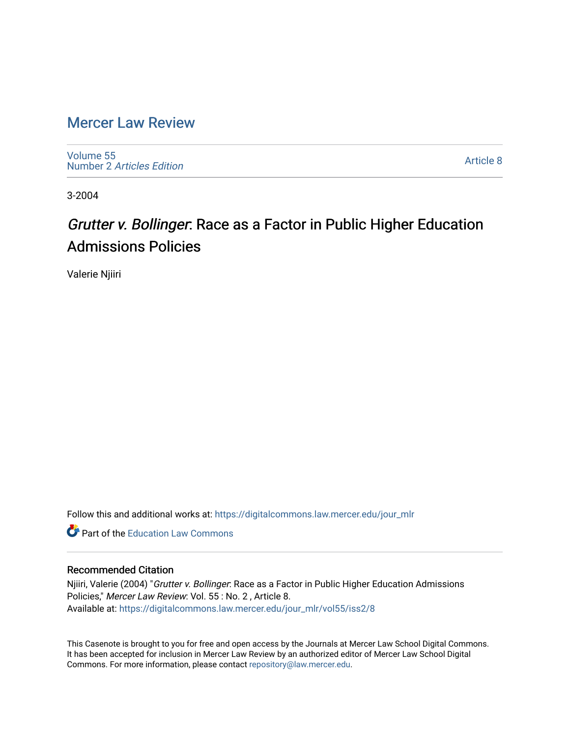## [Mercer Law Review](https://digitalcommons.law.mercer.edu/jour_mlr)

[Volume 55](https://digitalcommons.law.mercer.edu/jour_mlr/vol55) Number 2 [Articles Edition](https://digitalcommons.law.mercer.edu/jour_mlr/vol55/iss2) 

[Article 8](https://digitalcommons.law.mercer.edu/jour_mlr/vol55/iss2/8) 

3-2004

# Grutter v. Bollinger: Race as a Factor in Public Higher Education Admissions Policies

Valerie Njiiri

Follow this and additional works at: [https://digitalcommons.law.mercer.edu/jour\\_mlr](https://digitalcommons.law.mercer.edu/jour_mlr?utm_source=digitalcommons.law.mercer.edu%2Fjour_mlr%2Fvol55%2Fiss2%2F8&utm_medium=PDF&utm_campaign=PDFCoverPages)

**C** Part of the Education Law Commons

### Recommended Citation

Njiiri, Valerie (2004) "Grutter v. Bollinger: Race as a Factor in Public Higher Education Admissions Policies," Mercer Law Review: Vol. 55 : No. 2 , Article 8. Available at: [https://digitalcommons.law.mercer.edu/jour\\_mlr/vol55/iss2/8](https://digitalcommons.law.mercer.edu/jour_mlr/vol55/iss2/8?utm_source=digitalcommons.law.mercer.edu%2Fjour_mlr%2Fvol55%2Fiss2%2F8&utm_medium=PDF&utm_campaign=PDFCoverPages)

This Casenote is brought to you for free and open access by the Journals at Mercer Law School Digital Commons. It has been accepted for inclusion in Mercer Law Review by an authorized editor of Mercer Law School Digital Commons. For more information, please contact [repository@law.mercer.edu.](mailto:repository@law.mercer.edu)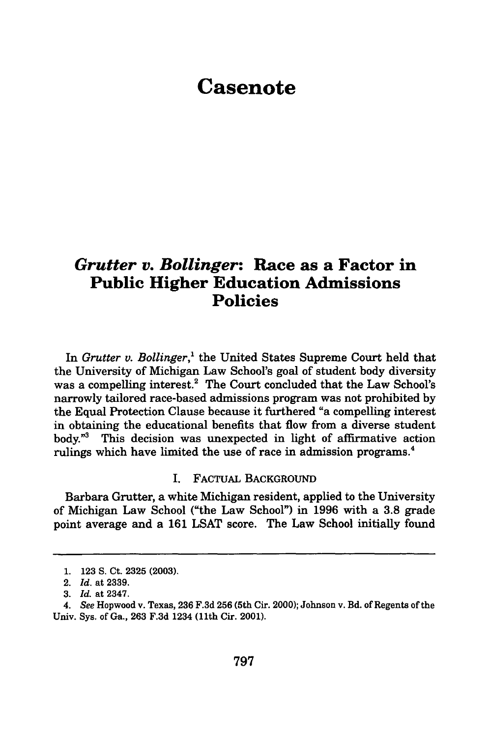# **Casenote**

### *Grutter v. Bollinger:* **Race as a Factor in Public Higher Education Admissions Policies**

In *Grutter v. Bollinger,'* the United States Supreme Court held that the University of Michigan Law School's goal of student body diversity was a compelling interest.<sup>2</sup> The Court concluded that the Law School's narrowly tailored race-based admissions program was not prohibited by the Equal Protection Clause because it furthered "a compelling interest in obtaining the educational benefits that flow from a diverse student body."3 This decision was unexpected in light of affirmative action rulings which have limited the use of race in admission programs.<sup>4</sup>

#### I. FACTUAL BACKGROUND

Barbara Grutter, a white Michigan resident, applied to the University of Michigan Law School ("the Law School") in **1996** with a **3.8** grade point average and a **161** LSAT score. The Law School initially found

<sup>1.</sup> **123** S. Ct. **2325 (2003).**

<sup>2.</sup> *Id.* at **2339.**

*<sup>3.</sup> Id.* at 2347.

*<sup>4.</sup> See* Hopwood v. Texas, **236** F.3d **256** (5th Cir. 2000); Johnson v. Bd. of Regents of the Univ. Sys. of Ga., **263** F.3d 1234 (11th Cir. 2001).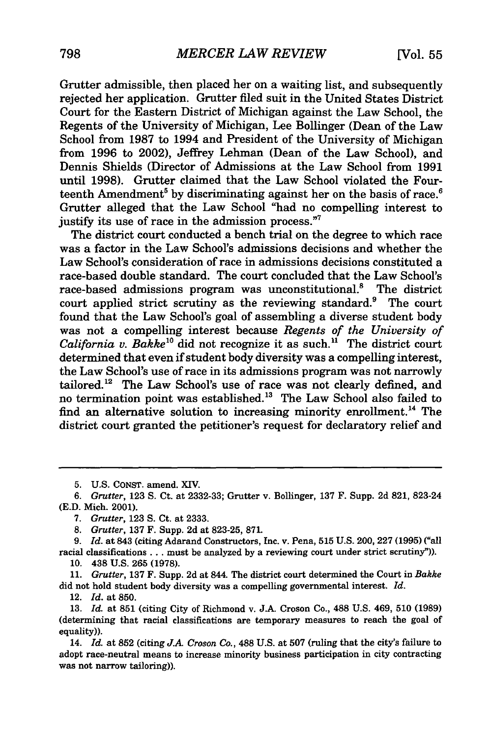Grutter admissible, then placed her on a waiting list, and subsequently rejected her application. Gratter filed suit in the United States District Court for the Eastern District of Michigan against the Law School, the Regents of the University of Michigan, Lee Bollinger (Dean of the Law School from 1987 to 1994 and President of the University of Michigan from 1996 to 2002), Jeffrey Lehman (Dean of the Law School), and Dennis Shields (Director of Admissions at the Law School from 1991 until 1998). Grutter claimed that the Law School violated the Fourteenth Amendment<sup>5</sup> by discriminating against her on the basis of race.<sup>6</sup> Grutter alleged that the Law School "had no compelling interest to justify its use of race in the admission process."<sup>7</sup>

The district court conducted a bench trial on the degree to which race was a factor in the Law School's admissions decisions and whether the Law School's consideration of race in admissions decisions constituted a race-based double standard. The court concluded that the Law School's race-based admissions program was unconstitutional.<sup>8</sup> The district court applied strict scrutiny as the reviewing standard.<sup>9</sup> The court found that the Law School's goal of assembling a diverse student body was not a compelling interest because *Regents of the University of California v. Bakke*<sup>10</sup> did not recognize it as such.<sup>11</sup> The district court determined that even if student body diversity was a compelling interest, the Law School's use of race in its admissions program was not narrowly tailored.<sup>12</sup> The Law School's use of race was not clearly defined, and no termination point was established.<sup>13</sup> The Law School also failed to find an alternative solution to increasing minority enrollment.<sup>14</sup> The district court granted the petitioner's request for declaratory relief and

**5. U.S. CONST.** amend. XIV.

*7. Grutter,* 123 S. Ct. at 2333.

*8. Grutter,* 137 F. Supp. 2d at 823-25, 871.

**9.** *Id.* at 843 (citing Adarand Constructors, Inc. v. Pena, **515** U.S. 200, **227 (1995)** ("all racial classifications... must be analyzed **by** a reviewing court under strict scrutiny")). **10.** 438 **U.S. 265 (1978).**

**11.** *Grutter,* **137** F. Supp. **2d** at 844. The district court determined the Court in *Bakke* did not hold student body diversity was a compelling governmental interest. *Id.*

12. *Id.* at **850.**

13. *Id.* at 851 (citing City of Richmond v. J.A. Croson Co., 488 U.S. 469, **510** (1989) (determining that racial classifications are temporary measures to reach the goal of equality)).

14. *Id.* at **852** (citing *J.A Croson Co.,* **488 U.S.** at **507** (ruling that the city's failure to adopt race-neutral means to increase minority business participation in city contracting was not narrow tailoring)).

*<sup>6.</sup> Grutter,* 123 S. Ct. at 2332-33; Grutter v. Bollinger, 137 F. Supp. 2d 821, 823-24 (E.D. Mich. 2001).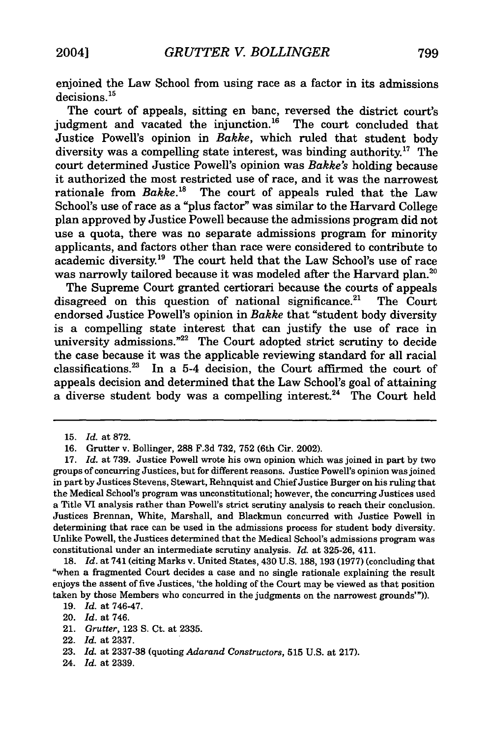enjoined the Law School from using race as a factor in its admissions  $decisions.<sup>15</sup>$ 

The court of appeals, sitting en banc, reversed the district court's judgment and vacated the injunction. $16$  The court concluded that Justice Powell's opinion in *Bakke,* which ruled that student body diversity was a compelling state interest, was binding authority.<sup>17</sup> The court determined Justice Powell's opinion was *Bakke's* holding because it authorized the most restricted use of race, and it was the narrowest rationale from *Bakke."s* The court of appeals ruled that the Law School's use of race as a "plus factor" was similar to the Harvard College plan approved by Justice Powell because the admissions program did not use a quota, there was no separate admissions program for minority applicants, and factors other than race were considered to contribute to academic diversity.<sup>19</sup> The court held that the Law School's use of race was narrowly tailored because it was modeled after the Harvard plan.<sup>2</sup>

The Supreme Court granted certiorari because the courts of appeals disagreed on this question of national significance.<sup>21</sup> The Court endorsed Justice Powell's opinion in *Bakke* that "student body diversity is a compelling state interest that can justify the use of race in university admissions."<sup>22</sup> The Court adopted strict scrutiny to decide the case because it was the applicable reviewing standard for all racial classifications.2" In a 5-4 decision, the Court affirmed the court of appeals decision and determined that the Law School's goal of attaining  $a$  diverse student body was a compelling interest.<sup>24</sup> The Court held

**18.** *Id.* at 741 (citing Marks v. United States, 430 **U.S. 188, 193 (1977)** (concluding that "when a fragmented Court decides a case and no single rationale explaining the result enjoys the assent of five Justices, 'the holding of the Court may be viewed as that position taken **by** those Members who concurred in the judgments on the narrowest grounds'")).

<sup>15.</sup> *Id.* at 872.

<sup>16.</sup> Grutter v. Bollinger, 288 F.3d 732, 752 (6th Cir. 2002).

**<sup>17.</sup>** *Id.* at **739.** Justice Powell wrote his own opinion which was joined in part **by** two groups of concurring Justices, but for different reasons. Justice Powell's opinion was joined in part **by** Justices Stevens, Stewart, Rehnquist and Chief Justice Burger on his ruling that the Medical School's program was unconstitutional; however, the concurring Justices used a Title VI analysis rather than Powell's strict scrutiny analysis to reach their conclusion. Justices Brennan, White, Marshall, and Blackmun concurred with Justice Powell in determining that race can be used in the admissions process for student body diversity. Unlike Powell, the Justices determined that the Medical School's admissions program was constitutional under an intermediate scrutiny analysis. *Id.* at **325-26,** 411.

**<sup>19.</sup>** *Id.* at 746-47.

<sup>20.</sup> *Id.* at 746.

<sup>21.</sup> *Grutter,* **123 S.** Ct. at **2335.**

<sup>22.</sup> *Id.* at **2337.**

**<sup>23.</sup>** *Id.* at **2337-38** (quoting *Adarand Constructors,* **515 U.S.** at **217).**

<sup>24.</sup> *Id.* at **2339.**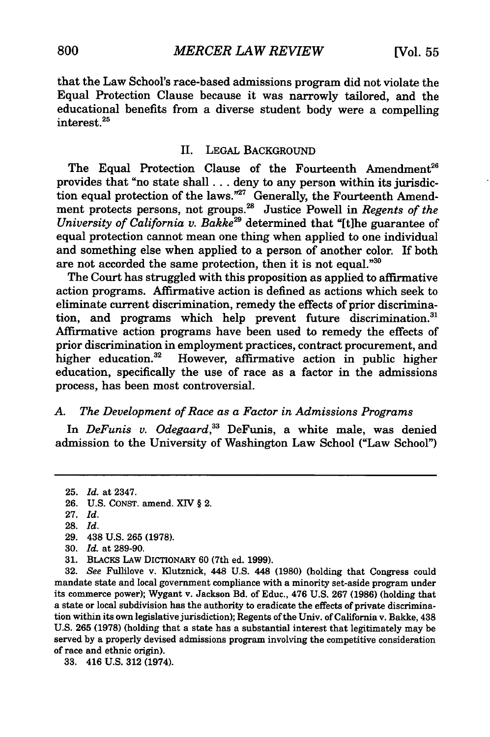that the Law School's race-based admissions program did not violate the Equal Protection Clause because it was narrowly tailored, and the educational benefits from a diverse student body were a compelling interest.<sup>25</sup>

#### II. **LEGAL** BACKGROUND

The Equal Protection Clause of the Fourteenth Amendment<sup>26</sup> provides that "no state **shall...** deny to any person within its jurisdiction equal protection of the laws."<sup>27</sup> Generally, the Fourteenth Amendment protects persons, not groups.2 " Justice Powell in *Regents of the University of California v. Bakke29* determined that "[t]he guarantee of equal protection cannot mean one thing when applied to one individual and something else when applied to a person of another color. If both are not accorded the same protection, then it is not equal."30

The Court has struggled with this proposition as applied to affirmative action programs. Affirmative action is defined as actions which seek to eliminate current discrimination, remedy the effects of prior discrimination, and programs which help prevent future discrimination.<sup>31</sup> Affirmative action programs have been used to remedy the effects of prior discrimination in employment practices, contract procurement, and higher education.<sup>32</sup> However, affirmative action in public higher education, specifically the use of race as a factor in the admissions process, has been most controversial.

#### *A. The Development of Race as a Factor in Admissions Programs*

In *DeFunis v. Odegaard,33* DeFunis, a white male, was denied admission to the University of Washington Law School ("Law School")

**<sup>25.</sup>** *Id.* at 2347.

**<sup>26.</sup>** U.S. CONST. amend. XIV § 2.

<sup>27.</sup> *Id.*

**<sup>28.</sup>** *Id.*

<sup>29. 438</sup> U.S. 265 (1978).

<sup>30.</sup> *Id.* at 289-90.

<sup>31.</sup> BLACKS LAw DICTIONARY 60 (7th ed. 1999).

<sup>32.</sup> *See* Fullilove v. Klutznick, 448 U.S. 448 (1980) (holding that Congress could mandate state and local government compliance with a minority set-aside program under its commerce power); Wygant v. Jackson Bd. of Educ., 476 U.S. 267 (1986) (holding that a state or local subdivision has the authority to eradicate the effects of private discrimination within its own legislative jurisdiction); Regents of the Univ. of California v. Bakke, 438 U.S. 265 (1978) (holding that a state has a substantial interest that legitimately may be served by a properly devised admissions program involving the competitive consideration of race and ethnic origin).

<sup>33. 416</sup> U.S. 312 (1974).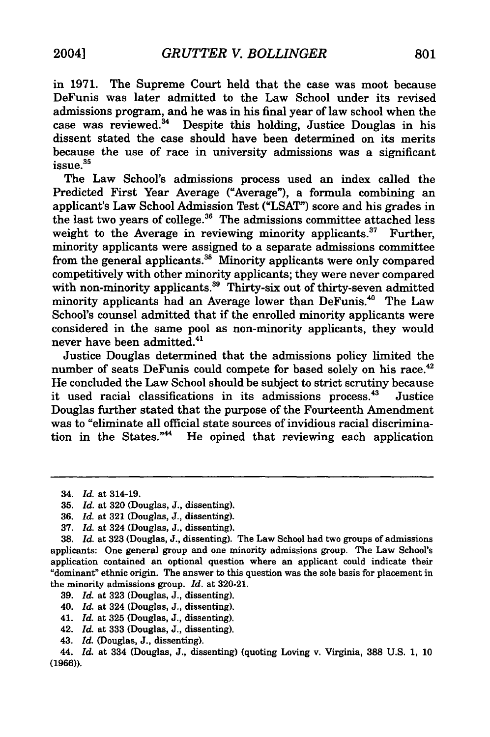in **1971.** The Supreme Court held that the case was moot because DeFunis was later admitted to the Law School under its revised admissions program, and he was in his final year of law school when the case was reviewed.<sup>34</sup> Despite this holding, Justice Douglas in his dissent stated the case should have been determined on its merits because the use of race in university admissions was a significant  $i$ ssue. $35$ 

The Law School's admissions process used an index called the Predicted First Year Average ("Average"), a formula combining an applicant's Law School Admission Test **("LSAT")** score and his grades in the last two years of college. 36 The admissions committee attached less weight to the Average in reviewing minority applicants.<sup>37</sup> Further, minority applicants were assigned to a separate admissions committee from the general applicants.<sup>38</sup> Minority applicants were only compared competitively with other minority applicants; they were never compared with non-minority applicants.<sup>39</sup> Thirty-six out of thirty-seven admitted minority applicants had an Average lower than DeFunis.<sup>40</sup> The Law School's counsel admitted that if the enrolled minority applicants were considered in the same pool as non-minority applicants, they would never have been admitted.<sup>41</sup>

Justice Douglas determined that the admissions policy limited the number of seats DeFunis could compete for based solely on his race.<sup>42</sup> He concluded the Law School should be subject to strict scrutiny because it used racial classifications in its admissions process.<sup>43</sup> Justice Douglas further stated that the purpose of the Fourteenth Amendment was to "eliminate all official state sources of invidious racial discrimination in the States." $44$  He opined that reviewing each application

- **39.** *Id.* at **323** (Douglas, **J.,** dissenting).
- 40. *Id.* at 324 (Douglas, **J.,** dissenting).
- 41. *Id.* at **325** (Douglas, **J.,** dissenting).
- 42. *Id.* at **333** (Douglas, **J.,** dissenting).
- 43. *Id.* (Douglas, **J.,** dissenting).

44. *Id.* at 334 (Douglas, **J.,** dissenting) (quoting Loving v. Virginia, **388 U.S. 1, 10 (1966)).**

<sup>34.</sup> *Id.* at 314-19.

**<sup>35.</sup>** *Id.* at **320** (Douglas, **J.,** dissenting).

**<sup>36.</sup>** *Id.* at **321** (Douglas, **J.,** dissenting).

**<sup>37.</sup>** *Id.* at 324 (Douglas, **J.,** dissenting).

**<sup>38.</sup>** *Id.* at **323** (Douglas, **J.,** dissenting). The Law School had two groups of admissions applicants: One general group and one minority admissions group. The Law School's application contained an optional question where an applicant could indicate their "dominant" ethnic origin. The answer to this question was the sole basis for placement in the minority admissions group. *Id.* at **320-21.**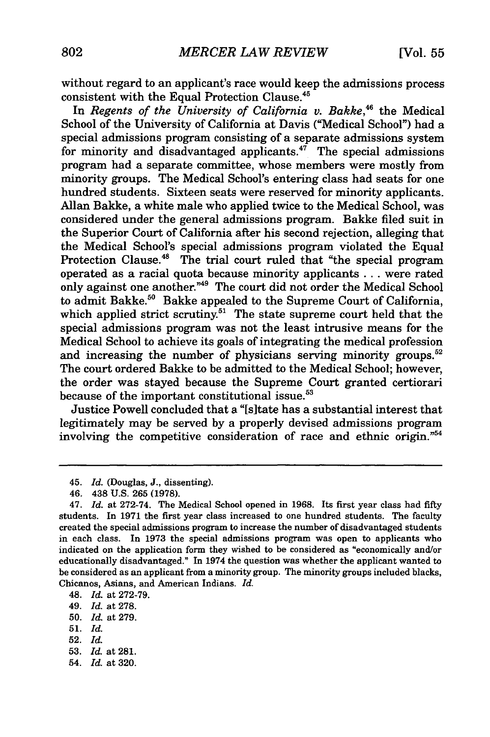without regard to an applicant's race would keep the admissions process consistent with the Equal Protection Clause.<sup>45</sup>

In *Regents of the University of California v. Bakke,46* the Medical School of the University of California at Davis ("Medical School") had a special admissions program consisting of a separate admissions system for minority and disadvantaged applicants.<sup>47</sup> The special admissions program had a separate committee, whose members were mostly from minority groups. The Medical School's entering class had seats for one hundred students. Sixteen seats were reserved for minority applicants. Allan Bakke, a white male who applied twice to the Medical School, was considered under the general admissions program. Bakke filed suit in the Superior Court of California after his second rejection, alleging that the Medical School's special admissions program violated the Equal Protection Clause.<sup>48</sup> The trial court ruled that "the special program" operated as a racial quota because minority applicants . . . were rated only against one another."<sup>49</sup> The court did not order the Medical School to admit Bakke.<sup>50</sup> Bakke appealed to the Supreme Court of California which applied strict scrutiny.<sup>51</sup> The state supreme court held that the special admissions program was not the least intrusive means for the Medical School to achieve its goals of integrating the medical profession and increasing the number of physicians serving minority groups.<sup>52</sup> The court ordered Bakke to be admitted to the Medical School; however, the order was stayed because the Supreme Court granted certiorari because of the important constitutional issue.<sup>53</sup>

Justice Powell concluded that a "[s]tate has a substantial interest that legitimately may be served by a properly devised admissions program involving the competitive consideration of race and ethnic origin."<sup>54</sup>

48. *Id.* at 272-79.

49. *Id.* at 278.

- 51. *Id.*
- 52. *Id.*
- 53. *Id.* at 281.
- 54. *Id.* at 320.

<sup>45.</sup> *Id.* (Douglas, J., dissenting).

<sup>46. 438</sup> U.S. 265 (1978).

<sup>47.</sup> *Id.* at 272-74. The Medical School opened in 1968. Its first year class had **fifty** students. In 1971 the first year class increased to one hundred students. The faculty created the special admissions program to increase the number of disadvantaged students in each class. In 1973 the special admissions program was open to applicants who indicated on the application form they wished to be considered as "economically and/or educationally disadvantaged." In 1974 the question was whether the applicant wanted to be considered as an applicant from a minority group. The minority groups included blacks, Chicanos, Asians, and American Indians. *Id.*

<sup>50.</sup> *Id.* at 279.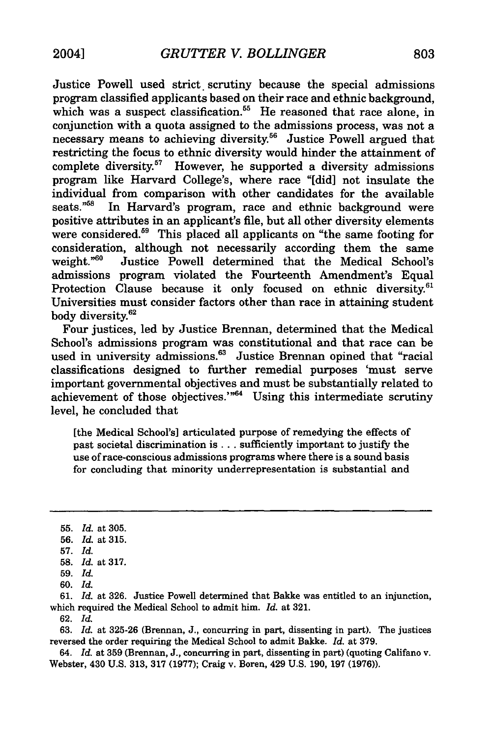Justice Powell used strict scrutiny because the special admissions program classified applicants based on their race and ethnic background, which was a suspect classification.<sup>55</sup> He reasoned that race alone, in conjunction with a quota assigned to the admissions process, was not a necessary means to achieving diversity.<sup>56</sup> Justice Powell argued that restricting the focus to ethnic diversity would hinder the attainment of complete diversity.<sup>57</sup> However, he supported a diversity admissions program like Harvard College's, where race "[did] not insulate the individual from comparison with other candidates for the available seats."<sup>58</sup> In Harvard's program, race and ethnic background were positive attributes in an applicant's file, but all other diversity elements were considered.<sup>59</sup> This placed all applicants on "the same footing for consideration, although not necessarily according them the same weight."<sup>60</sup> Justice Powell determined that the Medical School's admissions program violated the Fourteenth Amendment's Equal Protection Clause because it only focused on ethnic diversity.<sup>61</sup> Universities must consider factors other than race in attaining student body diversity.<sup>62</sup>

Four justices, led by Justice Brennan, determined that the Medical School's admissions program was constitutional and that race can be used in university admissions.<sup>63</sup> Justice Brennan opined that "racial" classifications designed to further remedial purposes 'must serve important governmental objectives and must be substantially related to achievement of those objectives."<sup>64</sup> Using this intermediate scrutiny level, he concluded that

[the Medical School's] articulated purpose of remedying the effects of past societal discrimination is ... sufficiently important to justify the use of race-conscious admissions programs where there is a sound basis for concluding that minority underrepresentation is substantial and

61. *Id.* at **326.** Justice Powell determined that Bakke was entitled to an injunction, which required the Medical School to admit him. *Id.* at 321.

62. *Id.*

63. *Id.* at 325-26 (Brennan, J., concurring in part, dissenting in part). The justices reversed the order requiring the Medical School to admit Bakke. *Id.* at 379.

64. *Id.* at **359** (Brennan, **J.,** concurring in part, dissenting in part) (quoting Califano v. Webster, 430 U.S. **313, 317** (1977); Craig v. Boren, 429 U.S. 190, **197** (1976)).

<sup>55.</sup> *Id.* at 305.

<sup>56.</sup> *Id.* at **315.**

**<sup>57.</sup>** *Id.*

<sup>58.</sup> *Id.* at 317.

<sup>59.</sup> *Id.*

<sup>60.</sup> *Id.*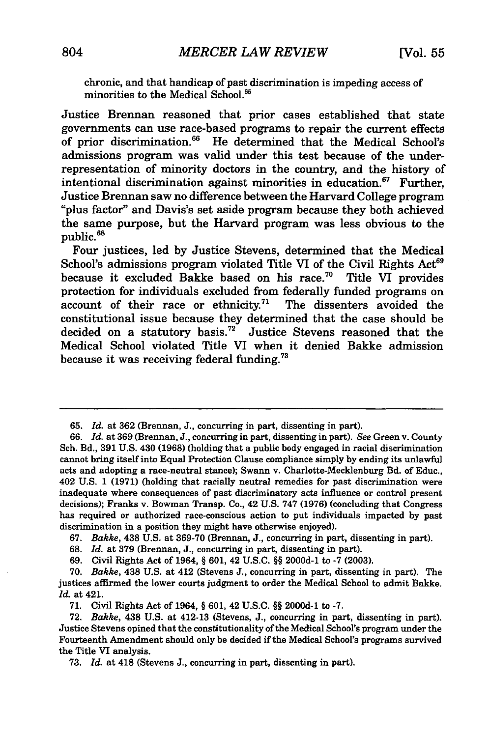chronic, and that handicap of past discrimination is impeding access of minorities to the Medical School.<sup>65</sup>

Justice Brennan reasoned that prior cases established that state governments can use race-based programs to repair the current effects of prior discrimination.<sup>66</sup> He determined that the Medical School's admissions program was valid under this test because of the underrepresentation of minority doctors in the country, and the history of intentional discrimination against minorities in education. $67$  Further, Justice Brennan saw no difference between the Harvard College program "plus factor" and Davis's set aside program because they both achieved the same purpose, but the Harvard program was less obvious to the **68 public.**

Four justices, led **by** Justice Stevens, determined that the Medical School's admissions program violated Title VI of the Civil Rights Act<sup>69</sup> because it excluded Bakke based on his race.<sup>70</sup> Title VI provides protection for individuals excluded from federally funded programs on account of their race or ethnicity.<sup>71</sup> The dissenters avoided the constitutional issue because they determined that the case should be decided on a statutory basis.<sup>72</sup> Justice Stevens reasoned that the Medical School violated Title VI when it denied Bakke admission because it was receiving federal funding.<sup>73</sup>

**67.** Bakke, 438 **U.S.** at **369-70** (Brennan, **J.,** concurring in part, dissenting in part).

**68.** *Id.* at **379** (Brennan, **J.,** concurring in part, dissenting in part).

**69.** Civil Rights Act of 1964, **§ 601,** 42 **U.S.C. §§ 2000d-1** to **-7 (2003).**

**71.** Civil Rights Act of 1964, **§ 601,** 42 **U.S.C. §§ 2000d-1** to **-7.**

**<sup>65.</sup>** *Id.* at **362** (Brennan, **J.,** concurring in part, dissenting in part).

**<sup>66.</sup>** *Id.* at **369** (Brennan, **J.,** concurring in part, dissenting in part). *See* Green v. County Sch. Bd., **391 U.S.** 430 **(1968)** (holding that a public body engaged in racial discrimination cannot bring itself into Equal Protection Clause compliance simply **by** ending its unlawful acts and adopting a race-neutral stance); Swanm v. Charlotte-Mecklenburg Bd. of Educ., 402 **U.S. 1 (1971)** (holding that racially neutral remedies for past discrimination were inadequate where consequences of past discriminatory acts influence or control present decisions); Franks v. Bowman Transp. Co., 42 **U.S. 747 (1976)** (concluding that Congress has required or authorized race-conscious action to put individuals impacted **by** past discrimination in a position they might have otherwise enjoyed).

**<sup>70.</sup>** *Bakke,* 438 **U.S.** at 412 (Stevens **J.,** concurring in part, dissenting in part). The justices affirmed the lower courts judgment to order the Medical School to admit Bakke. *Id.* at 421.

**<sup>72.</sup>** *Bakke,* 438 **U.S.** at 412-13 (Stevens, **J.,** concurring in part, dissenting in part). Justice Stevens opined that the constitutionality of the Medical School's program under the Fourteenth Amendment should only be decided if the Medical School's programs survived the Title VI analysis.

**<sup>73.</sup>** *Id.* at 418 (Stevens **J.,** concurring in part, dissenting in part).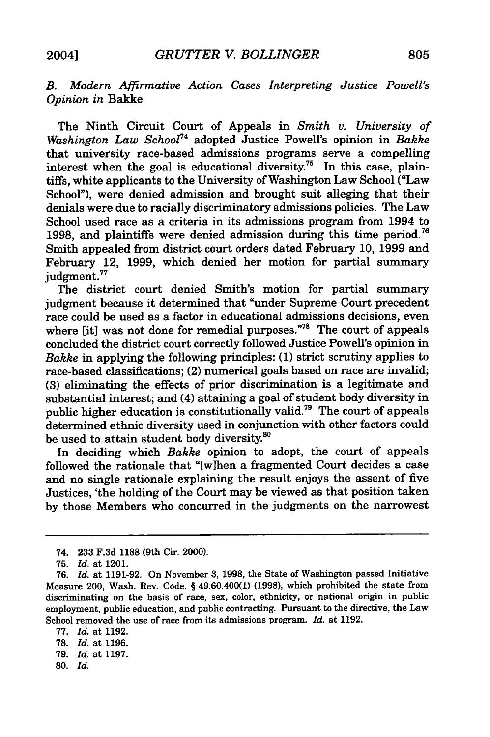### *B. Modern Affirmative Action Cases Interpreting Justice Powell's Opinion in* Bakke

The Ninth Circuit Court of Appeals in *Smith v. University of Washington Law School74* adopted Justice Powell's opinion in *Bakke* that university race-based admissions programs serve a compelling interest when the goal is educational diversity.<sup>75</sup> In this case, plaintiffs, white applicants to the University of Washington Law School ("Law School"), were denied admission and brought suit alleging that their denials were due to racially discriminatory admissions policies. The Law School used race as a criteria in its admissions program from 1994 to 1998, and plaintiffs were denied admission during this time period.<sup>76</sup> Smith appealed from district court orders dated February 10, 1999 and February 12, 1999, which denied her motion for partial summary judgment.<sup>77</sup>

The district court denied Smith's motion for partial summary judgment because it determined that "under Supreme Court precedent race could be used as a factor in educational admissions decisions, even where [it] was not done for remedial purposes."<sup>78</sup> The court of appeals concluded the district court correctly followed Justice Powell's opinion in *Bakke* in applying the following principles: (1) strict scrutiny applies to race-based classifications; (2) numerical goals based on race are invalid; (3) eliminating the effects of prior discrimination is a legitimate and substantial interest; and (4) attaining a goal of student body diversity in public higher education is constitutionally valid.<sup>79</sup> The court of appeals determined ethnic diversity used in conjunction with other factors could be used to attain student body diversity.<sup>80</sup>

In deciding which *Bakke* opinion to adopt, the court of appeals followed the rationale that "[w]hen a fragmented Court decides a case and no single rationale explaining the result enjoys the assent of five Justices, 'the holding of the Court may be viewed as that position taken by those Members who concurred in the judgments on the narrowest

77. *Id.* at 1192.

80. *Id.*

<sup>74. 233</sup> F.3d 1188 (9th Cir. 2000).

<sup>75.</sup> *Id.* at 1201.

<sup>76.</sup> *Id.* at 1191-92. On November 3, 1998, the State of Washington passed Initiative Measure 200, Wash. Rev. Code. § 49.60.400(1) (1998), which prohibited the state from discriminating on the basis of race, sex, color, ethnicity, or national origin in public employment, public education, and public contracting. Pursuant to the directive, the Law School removed the use of race from its admissions program. *Id.* at 1192.

<sup>78.</sup> *Id.* at 1196.

<sup>79.</sup> *Id.* at 1197.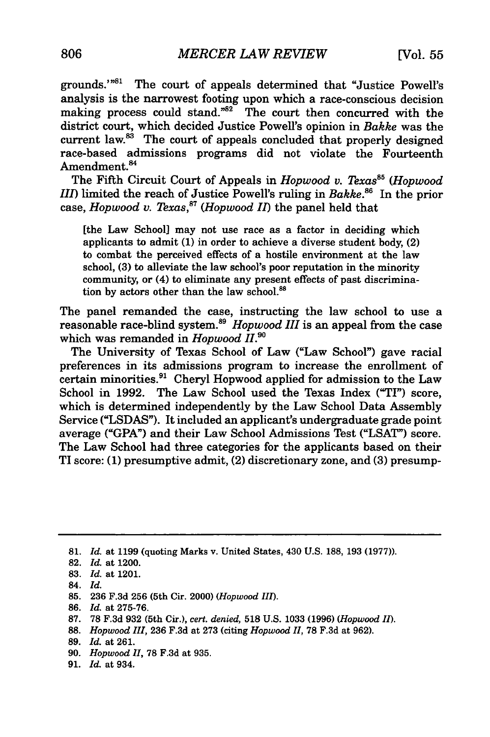grounds."<sup>81</sup> The court of appeals determined that "Justice Powell's analysis is the narrowest footing upon which a race-conscious decision making process could stand." $82$  The court then concurred with the district court, which decided Justice Powell's opinion in *Bakke* was the current law. $88$  The court of appeals concluded that properly designed race-based admissions programs did not violate the Fourteenth Amendment.<sup>84</sup>

The Fifth Circuit Court of Appeals in *Hopwood v. Texas*<sup>85</sup> (*Hopwood III)* limited the reach of Justice Powell's ruling in *Bakke."6* In the prior case, *Hopwood v. Texas, 7 (Hopwood II)* the panel held that

[the Law School] may not use race as a factor in deciding which applicants to admit (1) in order to achieve a diverse student body, (2) to combat the perceived effects of a hostile environment at the law school, (3) to alleviate the law school's poor reputation in the minority community, or (4) to eliminate any present effects of past discrimination by actors other than the law school.<sup>81</sup>

The panel remanded the case, instructing the law school to use a reasonable race-blind system.<sup>89</sup> Hopwood III is an appeal from the case which was remanded in *Hopwood I1. s°*

The University of Texas School of Law ("Law School") gave racial preferences in its admissions program to increase the enrollment of certain minorities.<sup>91</sup> Cheryl Hopwood applied for admission to the Law School in 1992. The Law School used the Texas Index ("TI") score, which is determined independently by the Law School Data Assembly Service **("LSDAS").** It included an applicant's undergraduate grade point average **("GPA")** and their Law School Admissions Test **("LSAT")** score. The Law School had three categories for the applicants based on their TI score: **(1)** presumptive admit, (2) discretionary zone, and **(3)** presump-

- 84. *Id.*
- 85. 236 F.3d 256 (5th Cir. 2000) *(Hopwood III).*
- 86. *Id.* at 275-76.
- 87. 78 F.3d 932 (5th Cir.), *cert. denied,* 518 U.S. 1033 (1996) *(Hopwood II).*
- 88. *Hopwood III,* 236 F.3d at 273 (citing *Hopwood 11,* 78 F.3d at 962).
- 89. *Id.* at 261.
- 90. *Hopwood H,* 78 F.3d at 935.
- 91. *Id.* at 934.

**<sup>81.</sup>** *Id.* at **1199** (quoting Marks v. United States, 430 **U.S. 188, 193 (1977)).**

**<sup>82.</sup>** *Id.* at 1200.

**<sup>83.</sup>** *Id.* at 1201.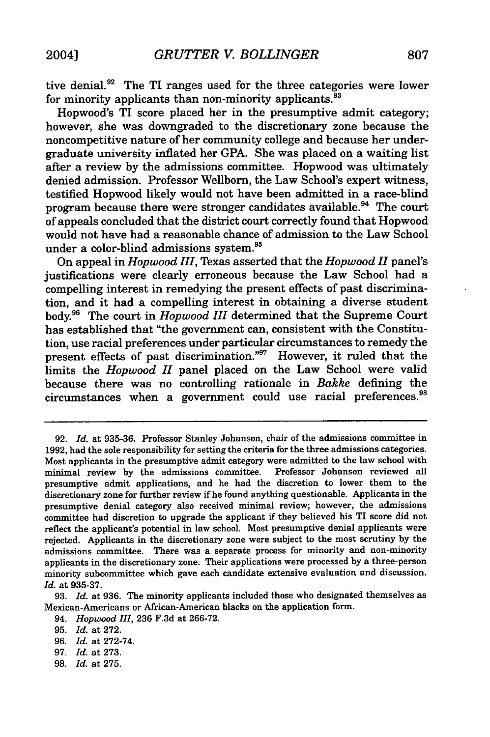tive denial.<sup>92</sup> The TI ranges used for the three categories were lower for minority applicants than non-minority applicants.  $93$ 

Hopwood's TI score placed her in the presumptive admit category; however, she was downgraded to the discretionary zone because the noncompetitive nature of her community college and because her undergraduate university inflated her GPA. She was placed on a waiting list after a review by the admissions committee. Hopwood was ultimately denied admission. Professor Wellborn, the Law School's expert witness, testified Hopwood likely would not have been admitted in a race-blind program because there were stronger candidates available.<sup>94</sup> The court of appeals concluded that the district court correctly found that Hopwood would not have had a reasonable chance of admission to the Law School under a color-blind admissions system.95

On appeal in *Hopwood III,* Texas asserted that the *Hopwood II* panel's justifications were clearly erroneous because the Law School had a compelling interest in remedying the present effects of past discrimination, and it had a compelling interest in obtaining a diverse student body.96 The court in *Hopwood III* determined that the Supreme Court has established that "the government can, consistent with the Constitution, use racial preferences under particular circumstances to remedy the present effects of past discrimination."97 However, it ruled that the limits the *Hopwood II* panel placed on the Law School were valid because there was no controlling rationale in *Bakke* defining the circumstances when a government could use racial preferences.<sup>91</sup>

- 97. *Id.* at 273.
- 98. *Id.* at 275.

<sup>92.</sup> *Id.* at 935-36. Professor Stanley Johanson, chair of the admissions committee in 1992, had the sole responsibility for setting the criteria for the three admissions categories. Most applicants in the presumptive admit category were admitted to the law school with minimal review by the admissions committee. Professor Johanson reviewed all minimal review by the admissions committee. presumptive admit applications, and he had the discretion to lower them to the discretionary zone for further review if he found anything questionable. Applicants in the presumptive denial category also received minimal review; however, the admissions committee had discretion to upgrade the applicant if they believed his TI score did not reflect the applicant's potential in law school. Most presumptive denial applicants were rejected. Applicants in the discretionary zone were subject to the most scrutiny by the admissions committee. There was a separate process for minority and non-minority applicants in the discretionary zone. Their applications were processed by a three-person minority subcommittee which gave each candidate extensive evaluation and discussion. *Id.* at 935-37.

<sup>93.</sup> *Id.* at 936. The minority applicants included those who designated themselves as Mexican-Americans or African-American blacks on the application form.

<sup>94.</sup> *Hopwood III,* **236** F.3d at 266-72.

<sup>95.</sup> *Id.* at 272.

<sup>96.</sup> *Id.* at 272-74.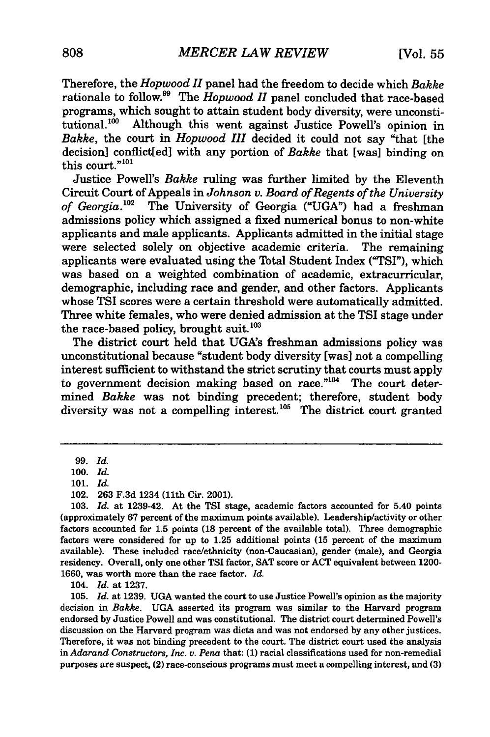Therefore, the *Hopwood II* panel had the freedom to decide which *Bakke* rationale to follow.<sup>99</sup> The *Hopwood II* panel concluded that race-based programs, which sought to attain student body diversity, were unconstitutional.<sup>100</sup> Although this went against Justice Powell's opinion in *Bakke,* the court in *Hopwood III* decided it could not say "that [the decision] conflict[ed] with any portion of *Bakke* that [was] binding on this court."<sup>101</sup>

Justice Powell's *Bakke* ruling was further limited **by** the Eleventh Circuit Court of Appeals in *Johnson v. Board of Regents of the University of Georgia. <sup>2</sup>*The University of Georgia **("UGA")** had a freshman admissions policy which assigned a fixed numerical bonus to non-white applicants and male applicants. Applicants admitted in the initial stage were selected solely on objective academic criteria. The remaining applicants were evaluated using the Total Student Index ("TSI"), which was based on a weighted combination of academic, extracurricular, demographic, including race and gender, and other factors. Applicants whose TSI scores were a certain threshold were automatically admitted. Three white females, who were denied admission at the TSI stage under the race-based policy, brought suit. $103$ 

The district court held that UGA's freshman admissions policy was unconstitutional because "student body diversity [was] not a compelling interest sufficient to withstand the strict scrutiny that courts must apply to government decision making based on race." $104$  The court determined *Bakke* was not binding precedent; therefore, student body diversity was not a compelling interest.<sup>105</sup> The district court granted

104. *Id.* at 1237.

105. *Id.* at 1239. **UGA** wanted the court to use Justice Powell's opinion as the majority decision in *Bakke.* **UGA** asserted its program was similar to the Harvard program endorsed **by** Justice Powell and was constitutional. The district court determined Powell's discussion on the Harvard program was dicta and was not endorsed **by** any other justices. Therefore, it was not binding precedent to the court. The district court used the analysis in *Adarand Constructors, Inc. v. Pena* that: **(1)** racial classifications used for non-remedial purposes are suspect, (2) race-conscious programs must meet a compelling interest, and **(3)**

<sup>99.</sup> *Id.*

<sup>100.</sup> *Id.*

<sup>101.</sup> *Id.*

<sup>102. 263</sup> F.3d 1234 (11th Cir. 2001).

<sup>103.</sup> *Id.* at 1239-42. At the TSI stage, academic factors accounted for 5.40 **points** (approximately **67** percent of the maximum points available). Leadership/activity or other factors accounted for **1.5** points **(18** percent of the available total). Three demographic factors were considered for up to 1.25 additional points **(15** percent of the maximum available). These included race/ethnicity (non-Caucasian), gender (male), and Georgia residency. Overall, only one other **TSI** factor, **SAT** score or **ACT** equivalent between 1200- 1660, was worth more than the race factor. *Id.*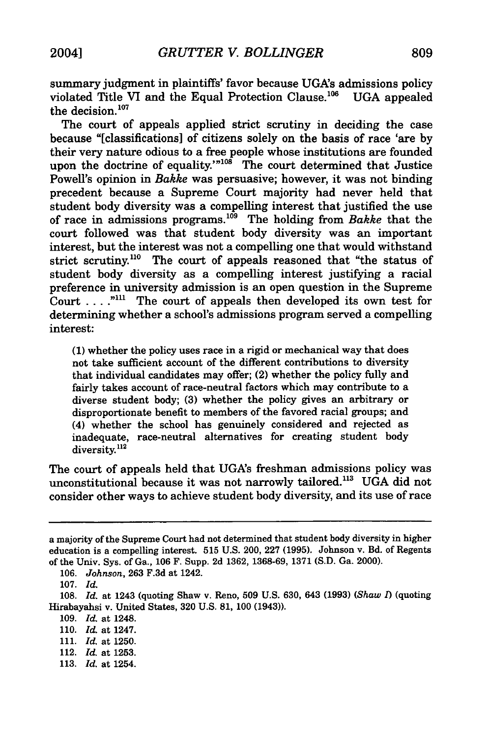summary judgment in plaintiffs' favor because UGA's admissions policy violated Title VI and the Equal Protection Clause.<sup>106</sup> UGA appealed the decision.<sup>107</sup>

The court of appeals applied strict scrutiny in deciding the case because "[classifications] of citizens solely on the basis of race 'are by their very nature odious to a free people whose institutions are founded upon the doctrine of equality.'"<sup>108</sup> The court determined that Justice Powell's opinion in *Bakke* was persuasive; however, it was not binding precedent because a Supreme Court majority had never held that student body diversity was a compelling interest that justified the use of race in admissions programs.<sup>109</sup> The holding from *Bakke* that the court followed was that student body diversity was an important interest, but the interest was not a compelling one that would withstand strict scrutiny.<sup>110</sup> The court of appeals reasoned that "the status of student body diversity as a compelling interest justifying a racial preference in university admission is an open question in the Supreme Court **... .""** The court of appeals then developed its own test for determining whether a school's admissions program served a compelling interest:

(1) whether the policy uses race in a rigid or mechanical way that does not take sufficient account of the different contributions to diversity that individual candidates may offer; (2) whether the policy fully and fairly takes account of race-neutral factors which may contribute to a diverse student body; (3) whether the policy gives an arbitrary or disproportionate benefit to members of the favored racial groups; and (4) whether the school has genuinely considered and rejected as inadequate, race-neutral alternatives for creating student body diversity.<sup>112</sup>

The court of appeals held that UGA's freshman admissions policy was unconstitutional because it was not narrowly tailored.<sup>113</sup> UGA did not consider other ways to achieve student body diversity, and its use of race

113. *Id.* at 1254.

a majority of the Supreme Court had not determined that student body diversity in higher education is a compelling interest. 515 U.S. 200, 227 (1995). Johnson v. Bd. of Regents of the Univ. Sys. of Ga., 106 F. Supp. 2d 1362, 1368-69, 1371 (S.D. Ga. 2000).

<sup>106.</sup> *Johnson,* 263 F.3d at 1242.

<sup>107.</sup> *Id.*

<sup>108.</sup> *Id.* at 1243 (quoting Shaw v. Reno, 509 U.S. 630, 643 (1993) *(Shaw 1)* (quoting Hirabayahsi v. United States, 320 U.S. **81,** 100 (1943)).

<sup>109.</sup> *Id.* at 1248.

<sup>110.</sup> *Id.* at 1247.

<sup>111.</sup> *Id.* at 1250.

<sup>112.</sup> *Id.* at 1253.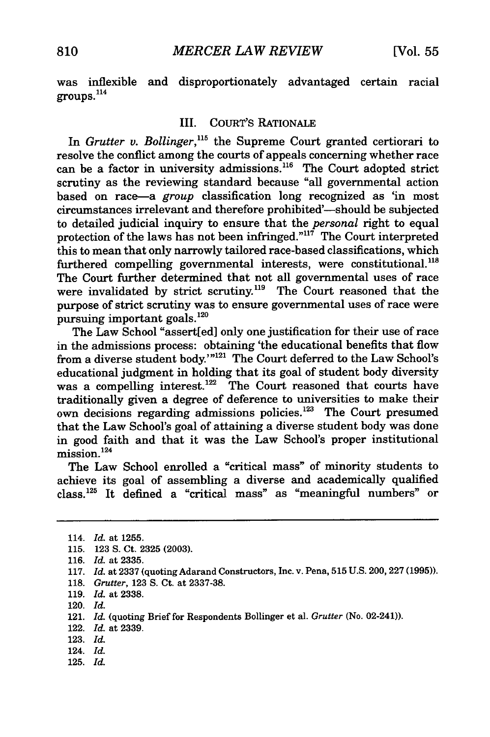was inflexible and disproportionately advantaged certain racial **groups." 4**

#### III. COURT'S RATIONALE

In *Grutter v. Bollinger*,<sup>115</sup> the Supreme Court granted certiorari to resolve the conflict among the courts of appeals concerning whether race can be a factor in university admissions.<sup>116</sup> The Court adopted strict scrutiny as the reviewing standard because "all governmental action based on race-a *group* classification long recognized as 'in most circumstances irrelevant and therefore prohibited'-should be subjected to detailed judicial inquiry to ensure that the *personal* right to equal protection of the laws has not been infringed."<sup>117</sup> The Court interpreted this to mean that only narrowly tailored race-based classifications, which furthered compelling governmental interests, were constitutional.<sup>118</sup> The Court further determined that not all governmental uses of race were invalidated by strict scrutiny.<sup>119</sup> The Court reasoned that the purpose of strict scrutiny was to ensure governmental uses of race were pursuing important goals.<sup>120</sup>

The Law School "assert[ed] only one justification for their use of race in the admissions process: obtaining 'the educational benefits that flow from a diverse student body.'"<sup>121</sup> The Court deferred to the Law School's educational judgment in holding that its goal of student body diversity was a compelling interest.<sup>122</sup> The Court reasoned that courts have traditionally given a degree of deference to universities to make their own decisions regarding admissions policies.<sup>123</sup> The Court presumed that the Law School's goal of attaining a diverse student body was done in good faith and that it was the Law School's proper institutional mission.<sup>124</sup>

The Law School enrolled a "critical mass" of minority students to achieve its goal of assembling a diverse and academically qualified class. 25 It defined a "critical mass" as "meaningful numbers" or

- 116. *Id.* at 2335.
- 117. *Id.* at 2337 (quoting Adarand Constructors, Inc. v. Pena, 515 U.S. 200, 227 (1995)).
- 118. *Grutter,* 123 **S.** Ct. at 2337-38.
- 119. *Id.* at 2338.
- 120. *Id.*
- 121. *Id.* (quoting Brief for Respondents Bollinger et al. *Grutter* (No. 02-241)).
- 122. *Id.* at 2339.
- 123. *Id.*
- 124. *Id.*
- 125. *Id.*

<sup>114.</sup> *Id.* at 1255.

<sup>115. 123</sup> **S.** Ct. 2325 (2003).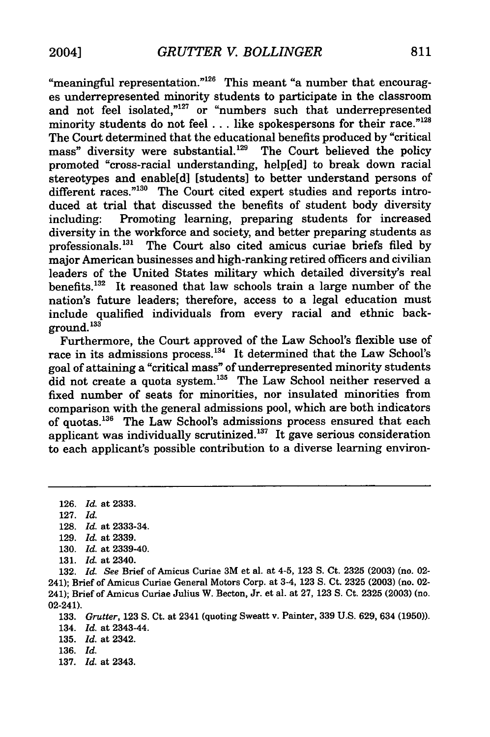"meaningful representation."<sup>126</sup> This meant "a number that encourages underrepresented minority students to participate in the classroom and not feel isolated."<sup>127</sup> or "numbers such that underrepresented minority students do not feel . . . like spokespersons for their race."<sup>128</sup> The Court determined that the educational benefits produced by "critical mass" diversity were substantial.<sup>129</sup> The Court believed the policy promoted "cross-racial understanding, help[ed] to break down racial stereotypes and enable[d] [students] to better understand persons of different races."<sup>130</sup> The Court cited expert studies and reports introduced at trial that discussed the benefits of student body diversity including: Promoting learning, preparing students for increased diversity in the workforce and society, and better preparing students as professionals.<sup>131</sup> The Court also cited amicus curiae briefs filed by major American businesses and high-ranking retired officers and civilian leaders of the United States military which detailed diversity's real benefits.<sup>132</sup> It reasoned that law schools train a large number of the nation's future leaders; therefore, access to a legal education must include qualified individuals from every racial and ethnic back- $\frac{133}{2}$ 

Furthermore, the Court approved of the Law School's flexible use of race in its admissions process.<sup>134</sup> It determined that the Law School's goal of attaining a "critical mass" of underrepresented minority students did not create a quota system.<sup>135</sup> The Law School neither reserved a fixed number of seats for minorities, nor insulated minorities from comparison with the general admissions pool, which are both indicators of quotas.<sup>136</sup> The Law School's admissions process ensured that each applicant was individually scrutinized.<sup>137</sup> It gave serious consideration to each applicant's possible contribution to a diverse learning environ-

128. *Id.* at **2333-34.**

**131.** *Id.* at 2340.

135. *Id.* at 2342.

- 
- 137. *Id.* at 2343.

**<sup>126.</sup>** *Id.* at 2333.

<sup>127.</sup> *Id.*

**<sup>129.</sup>** *Id.* at **2339.**

**<sup>130.</sup>** *Id.* at 2339-40.

**<sup>132.</sup>** *Id. See* Brief of Amicus Curiae 3M et al. at 4-5, 123 S. Ct. 2325 (2003) (no. 02- 241); Brief of Amicus Curiae General Motors Corp. at 3-4, 123 S. Ct. 2325 (2003) (no. 02- 241); Brief of Amicus Curiae Julius W. Becton, Jr. et al. at 27, 123 S. Ct. 2325 (2003) (no. 02-241).

<sup>133.</sup> *Grutter,* 123 S. Ct. at 2341 (quoting Sweatt v. Painter, 339 U.S. 629, 634 (1950)). 134. *Id.* at 2343-44.

<sup>136.</sup> *Id.*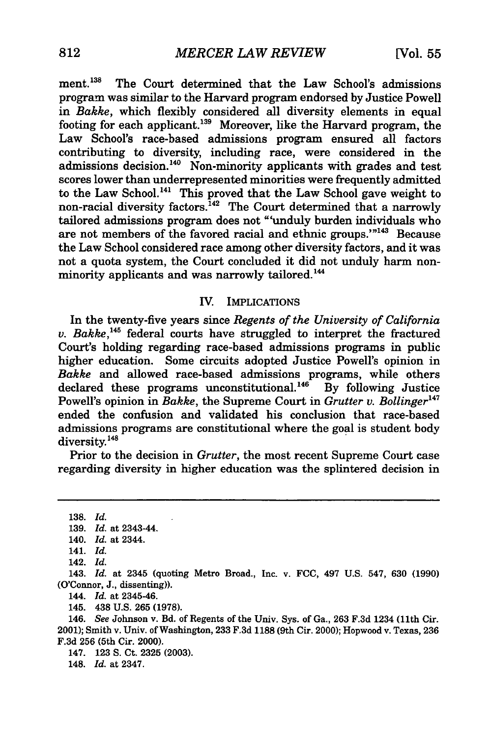ment.<sup>138</sup> The Court determined that the Law School's admissions program was similar to the Harvard program endorsed by Justice Powell in *Bakke,* which flexibly considered all diversity elements in equal footing for each applicant.139 Moreover, like the Harvard program, the Law School's race-based admissions program ensured all factors contributing to diversity, including race, were considered in the admissions decision.<sup>140</sup> Non-minority applicants with grades and test scores lower than underrepresented minorities were frequently admitted to the Law School.<sup>141</sup> This proved that the Law School gave weight to non-racial diversity factors.<sup>142</sup> The Court determined that a narrowly tailored admissions program does not "'unduly burden individuals who are not members of the favored racial and ethnic groups."<sup>143</sup> Because the Law School considered race among other diversity factors, and it was not a quota system, the Court concluded it did not unduly harm nonminority applicants and was narrowly tailored.<sup>144</sup>

#### IV. IMPLICATIONS

In the twenty-five years since *Regents of the University of California v. Bakke,'45* federal courts have struggled to interpret the fractured Court's holding regarding race-based admissions programs in public higher education. Some circuits adopted Justice Powell's opinion in *Bakke* and allowed race-based admissions programs, while others declared these programs unconstitutional.<sup>146</sup> By following Justice Powell's opinion in *Bakke*, the Supreme Court in *Grutter v. Bollinger*<sup>147</sup> ended the confusion and validated his conclusion that race-based admissions programs are constitutional where the goal is student body diversity.<sup>148</sup>

Prior to the decision in *Grutter,* the most recent Supreme Court case regarding diversity in higher education was the splintered decision in

138. *Id.* 139. *Id.* at 2343-44.

143. *Id.* at 2345 (quoting Metro Broad., Inc. v. FCC, 497 U.S. 547, 630 (1990) (O'Connor, J., dissenting)).

144. *Id.* at 2345-46.

145. 438 U.S. 265 (1978).

146. *See* Johnson v. Bd. of Regents of the Univ. Sys. of Ga., 263 F.3d 1234 (11th Cir. 2001); Smith v. Univ. of Washington, 233 F.3d **1188** (9th Cir. 2000); Hopwood v. Texas, 236 F.3d 256 (5th Cir. 2000).

147. 123 **S.** Ct. 2325 (2003).

148. *Id.* at 2347.

<sup>140.</sup> *Id.* at 2344.

<sup>141.</sup> *Id.*

<sup>142.</sup> *Id.*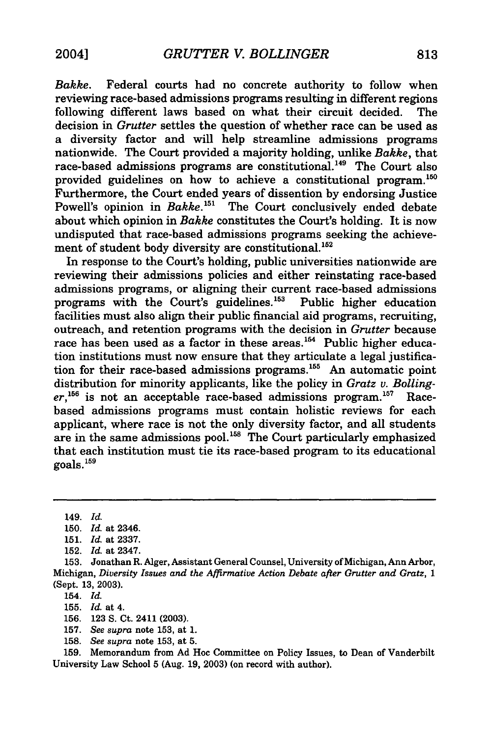*Bakke.* Federal courts had no concrete authority to follow when reviewing race-based admissions programs resulting in different regions following different laws based on what their circuit decided. The decision in *Grutter* settles the question of whether race can be used as a diversity factor and will help streamline admissions programs nationwide. The Court provided a majority holding, unlike *Bakke,* that race-based admissions programs are constitutional.<sup>149</sup> The Court also provided guidelines on how to achieve a constitutional program.<sup>150</sup> Furthermore, the Court ended years of dissention by endorsing Justice Powell's opinion in *Bakke*.<sup>151</sup> The Court conclusively ended debate about which opinion in *Bakke* constitutes the Court's holding. It is now undisputed that race-based admissions programs seeking the achievement of student body diversity are constitutional.<sup>152</sup>

In response to the Court's holding, public universities nationwide are reviewing their admissions policies and either reinstating race-based admissions programs, or aligning their current race-based admissions programs with the Court's guidelines. $153$  Public higher education facilities must also align their public financial aid programs, recruiting, outreach, and retention programs with the decision in *Grutter* because race has been used as a factor in these areas.<sup>154</sup> Public higher education institutions must now ensure that they articulate a legal justification for their race-based admissions programs.<sup>155</sup> An automatic point distribution for minority applicants, like the policy in *Gratz v. Bolling*er,<sup>156</sup> is not an acceptable race-based admissions program.<sup>157</sup> Racebased admissions programs must contain holistic reviews for each applicant, where race is not the only diversity factor, and all students are in the same admissions pool.<sup>158</sup> The Court particularly emphasized that each institution must tie its race-based program to its educational  $g$ oals.  $^{159}$ 

154. *Id.*

155. *Id.* at 4.

156. 123 S. Ct. 2411 (2003).

157. *See supra* note 153, at 1.

158. *See supra* note 153, at **5.**

159. Memorandum from Ad Hoc Committee on Policy Issues, to Dean of Vanderbilt University Law School 5 (Aug. 19, 2003) (on record with author).

<sup>149.</sup> *Id.*

<sup>150.</sup> *Id.* at 2346.

<sup>151.</sup> *Id.* at 2337.

<sup>152.</sup> *Id.* at 2347.

<sup>153.</sup> Jonathan R. Alger, Assistant General Counsel, University of Michigan, Ann Arbor, Michigan, *Diversity Issues and the Affirmative Action Debate after Grutter and Gratz, 1* (Sept. 13, 2003).